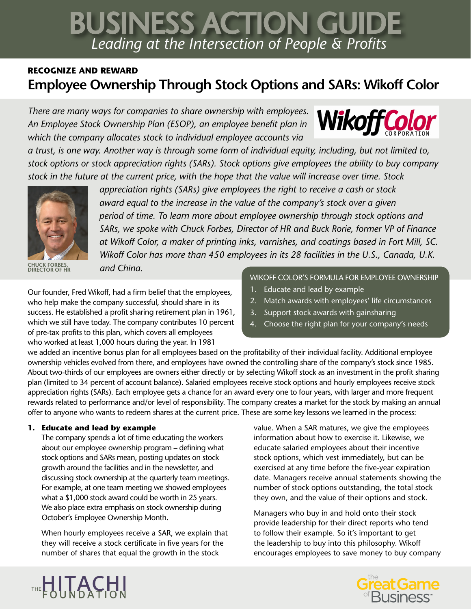# *Leading at the Intersection of People & Profits* BUSINESS ACTION GUIDE

## **RECOGNIZE AND REWARD Employee Ownership Through Stock Options and SARs: Wikoff Color**

*There are many ways for companies to share ownership with employees. An Employee Stock Ownership Plan (ESOP), an employee benefit plan in which the company allocates stock to individual employee accounts via* 

*a trust, is one way. Another way is through some form of individual equity, including, but not limited to, stock options or stock appreciation rights (SARs). Stock options give employees the ability to buy company stock in the future at the current price, with the hope that the value will increase over time. Stock* 



**CHUCK FORBES, DIRECTOR OF HR** 

*appreciation rights (SARs) give employees the right to receive a cash or stock award equal to the increase in the value of the company's stock over a given period of time. To learn more about employee ownership through stock options and SARs, we spoke with Chuck Forbes, Director of HR and Buck Rorie, former VP of Finance at Wikoff Color, a maker of printing inks, varnishes, and coatings based in Fort Mill, SC. Wikoff Color has more than 450 employees in its 28 facilities in the U.S., Canada, U.K. and China.*

Our founder, Fred Wikoff, had a firm belief that the employees, who help make the company successful, should share in its success. He established a profit sharing retirement plan in 1961, which we still have today. The company contributes 10 percent of pre-tax profits to this plan, which covers all employees who worked at least 1,000 hours during the year. In 1981

#### WIKOFF COLOR'S FORMULA FOR EMPLOYEE OWNERSHIP

**Wikoff Col** 

- 1. Educate and lead by example
- 2. Match awards with employees' life circumstances
- 3. Support stock awards with gainsharing
- 4. Choose the right plan for your company's needs

we added an incentive bonus plan for all employees based on the profitability of their individual facility. Additional employee ownership vehicles evolved from there, and employees have owned the controlling share of the company's stock since 1985. About two-thirds of our employees are owners either directly or by selecting Wikoff stock as an investment in the profit sharing plan (limited to 34 percent of account balance). Salaried employees receive stock options and hourly employees receive stock appreciation rights (SARs). Each employee gets a chance for an award every one to four years, with larger and more frequent rewards related to performance and/or level of responsibility. The company creates a market for the stock by making an annual offer to anyone who wants to redeem shares at the current price. These are some key lessons we learned in the process:

### **1. Educate and lead by example**

The company spends a lot of time educating the workers about our employee ownership program – defining what stock options and SARs mean, posting updates on stock growth around the facilities and in the newsletter, and discussing stock ownership at the quarterly team meetings. For example, at one team meeting we showed employees what a \$1,000 stock award could be worth in 25 years. We also place extra emphasis on stock ownership during October's Employee Ownership Month.

When hourly employees receive a SAR, we explain that they will receive a stock certificate in five years for the number of shares that equal the growth in the stock

value. When a SAR matures, we give the employees information about how to exercise it. Likewise, we educate salaried employees about their incentive stock options, which vest immediately, but can be exercised at any time before the five-year expiration date. Managers receive annual statements showing the number of stock options outstanding, the total stock they own, and the value of their options and stock.

Managers who buy in and hold onto their stock provide leadership for their direct reports who tend to follow their example. So it's important to get the leadership to buy into this philosophy. Wikoff encourages employees to save money to buy company